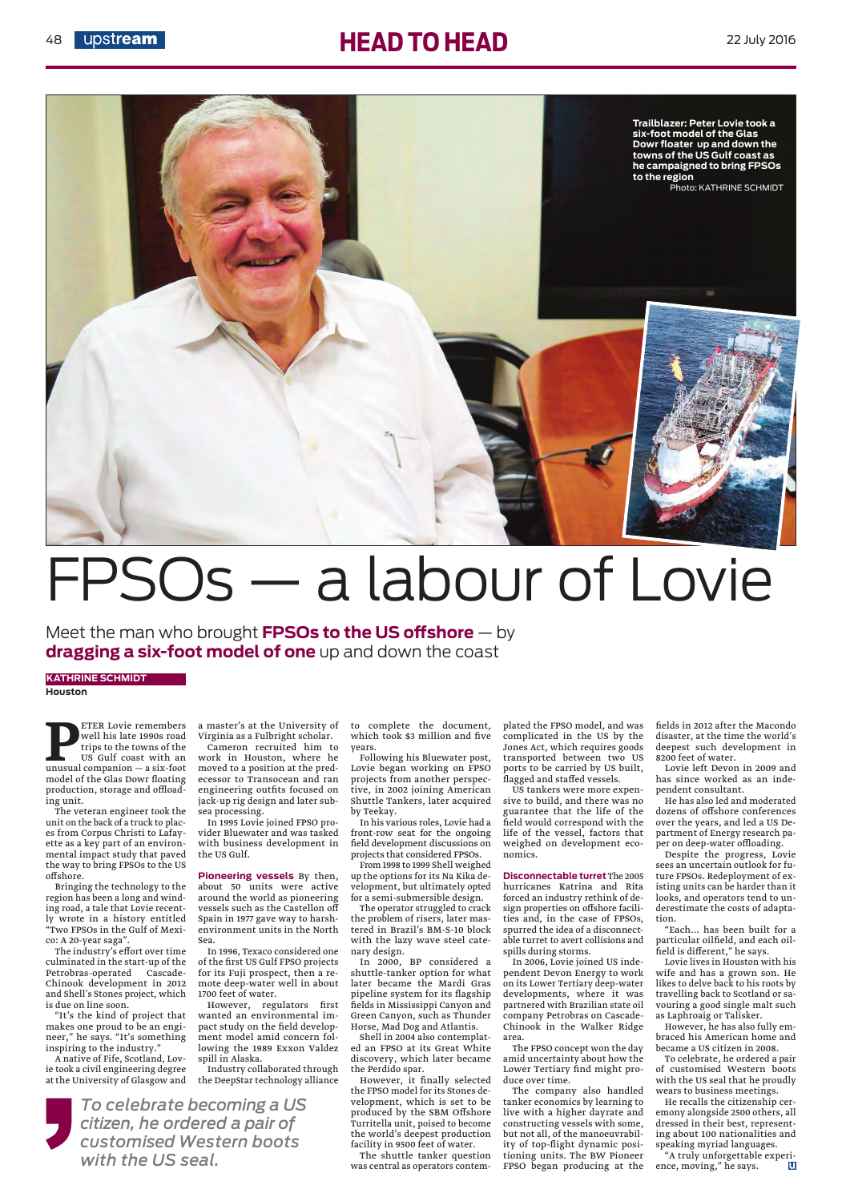

## 48 **upstream** 22 July 2016



## FPSOs — a labour of Lovie

Meet the man who brought **FPSOs to the US offshore** — by **dragging a six-foot model of one** up and down the coast